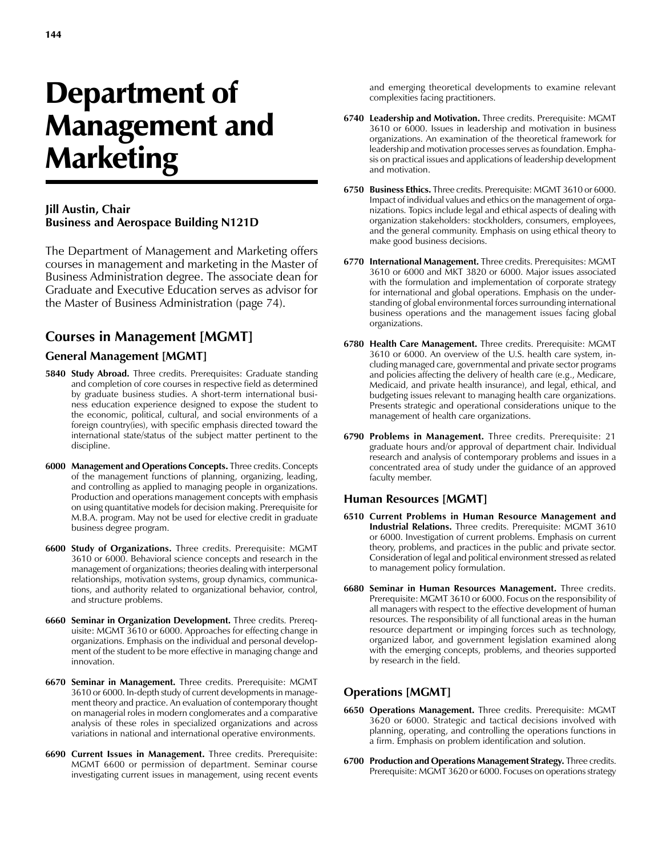# Department of Management and Marketing

#### **Jill Austin, Chair Business and Aerospace Building N121D**

The Department of Management and Marketing offers courses in management and marketing in the Master of Business Administration degree. The associate dean for Graduate and Executive Education serves as advisor for the Master of Business Administration (page 74).

# **Courses in Management [MGMT]**

#### **General Management [MGMT]**

- **5840 Study Abroad.** Three credits. Prerequisites: Graduate standing and completion of core courses in respective field as determined by graduate business studies. A short-term international business education experience designed to expose the student to the economic, political, cultural, and social environments of a foreign country(ies), with specific emphasis directed toward the international state/status of the subject matter pertinent to the discipline.
- **6000 Management and Operations Concepts.** Three credits. Concepts of the management functions of planning, organizing, leading, and controlling as applied to managing people in organizations. Production and operations management concepts with emphasis on using quantitative models for decision making. Prerequisite for M.B.A. program. May not be used for elective credit in graduate business degree program.
- **6600 Study of Organizations.** Three credits. Prerequisite: MGMT 3610 or 6000. Behavioral science concepts and research in the management of organizations; theories dealing with interpersonal relationships, motivation systems, group dynamics, communications, and authority related to organizational behavior, control, and structure problems.
- **6660 Seminar in Organization Development.** Three credits. Prerequisite: MGMT 3610 or 6000. Approaches for effecting change in organizations. Emphasis on the individual and personal development of the student to be more effective in managing change and innovation.
- **6670 Seminar in Management.** Three credits. Prerequisite: MGMT 3610 or 6000. In-depth study of current developments in management theory and practice. An evaluation of contemporary thought on managerial roles in modern conglomerates and a comparative analysis of these roles in specialized organizations and across variations in national and international operative environments.
- **6690 Current Issues in Management.** Three credits. Prerequisite: MGMT 6600 or permission of department. Seminar course investigating current issues in management, using recent events

and emerging theoretical developments to examine relevant complexities facing practitioners.

- **6740 Leadership and Motivation.** Three credits. Prerequisite: MGMT 3610 or 6000. Issues in leadership and motivation in business organizations. An examination of the theoretical framework for leadership and motivation processes serves as foundation. Emphasis on practical issues and applications of leadership development and motivation.
- **6750 Business Ethics.** Three credits. Prerequisite: MGMT 3610 or 6000. Impact of individual values and ethics on the management of organizations. Topics include legal and ethical aspects of dealing with organization stakeholders: stockholders, consumers, employees, and the general community. Emphasis on using ethical theory to make good business decisions.
- **6770 International Management.** Three credits. Prerequisites: MGMT 3610 or 6000 and MKT 3820 or 6000. Major issues associated with the formulation and implementation of corporate strategy for international and global operations. Emphasis on the understanding of global environmental forces surrounding international business operations and the management issues facing global organizations.
- **6780 Health Care Management.** Three credits. Prerequisite: MGMT 3610 or 6000. An overview of the U.S. health care system, including managed care, governmental and private sector programs and policies affecting the delivery of health care (e.g., Medicare, Medicaid, and private health insurance), and legal, ethical, and budgeting issues relevant to managing health care organizations. Presents strategic and operational considerations unique to the management of health care organizations.
- **6790 Problems in Management.** Three credits. Prerequisite: 21 graduate hours and/or approval of department chair. Individual research and analysis of contemporary problems and issues in a concentrated area of study under the guidance of an approved faculty member.

#### **Human Resources [MGMT]**

- **6510 Current Problems in Human Resource Management and Industrial Relations.** Three credits. Prerequisite: MGMT 3610 or 6000. Investigation of current problems. Emphasis on current theory, problems, and practices in the public and private sector. Consideration of legal and political environment stressed as related to management policy formulation.
- **6680 Seminar in Human Resources Management.** Three credits. Prerequisite: MGMT 3610 or 6000. Focus on the responsibility of all managers with respect to the effective development of human resources. The responsibility of all functional areas in the human resource department or impinging forces such as technology, organized labor, and government legislation examined along with the emerging concepts, problems, and theories supported by research in the field.

# **Operations [MGMT]**

- **6650 Operations Management.** Three credits. Prerequisite: MGMT 3620 or 6000. Strategic and tactical decisions involved with planning, operating, and controlling the operations functions in a firm. Emphasis on problem identification and solution.
- **6700 Production and Operations Management Strategy.** Three credits. Prerequisite: MGMT 3620 or 6000. Focuses on operations strategy